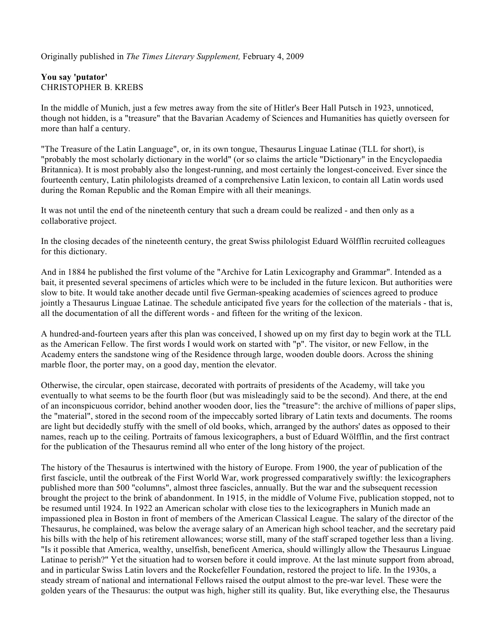Originally published in *The Times Literary Supplement,* February 4, 2009

## **You say 'putator'** CHRISTOPHER B. KREBS

In the middle of Munich, just a few metres away from the site of Hitler's Beer Hall Putsch in 1923, unnoticed, though not hidden, is a "treasure" that the Bavarian Academy of Sciences and Humanities has quietly overseen for more than half a century.

"The Treasure of the Latin Language", or, in its own tongue, Thesaurus Linguae Latinae (TLL for short), is "probably the most scholarly dictionary in the world" (or so claims the article "Dictionary" in the Encyclopaedia Britannica). It is most probably also the longest-running, and most certainly the longest-conceived. Ever since the fourteenth century, Latin philologists dreamed of a comprehensive Latin lexicon, to contain all Latin words used during the Roman Republic and the Roman Empire with all their meanings.

It was not until the end of the nineteenth century that such a dream could be realized - and then only as a collaborative project.

In the closing decades of the nineteenth century, the great Swiss philologist Eduard Wölfflin recruited colleagues for this dictionary.

And in 1884 he published the first volume of the "Archive for Latin Lexicography and Grammar". Intended as a bait, it presented several specimens of articles which were to be included in the future lexicon. But authorities were slow to bite. It would take another decade until five German-speaking academies of sciences agreed to produce jointly a Thesaurus Linguae Latinae. The schedule anticipated five years for the collection of the materials - that is, all the documentation of all the different words - and fifteen for the writing of the lexicon.

A hundred-and-fourteen years after this plan was conceived, I showed up on my first day to begin work at the TLL as the American Fellow. The first words I would work on started with "p". The visitor, or new Fellow, in the Academy enters the sandstone wing of the Residence through large, wooden double doors. Across the shining marble floor, the porter may, on a good day, mention the elevator.

Otherwise, the circular, open staircase, decorated with portraits of presidents of the Academy, will take you eventually to what seems to be the fourth floor (but was misleadingly said to be the second). And there, at the end of an inconspicuous corridor, behind another wooden door, lies the "treasure": the archive of millions of paper slips, the "material", stored in the second room of the impeccably sorted library of Latin texts and documents. The rooms are light but decidedly stuffy with the smell of old books, which, arranged by the authors' dates as opposed to their names, reach up to the ceiling. Portraits of famous lexicographers, a bust of Eduard Wölfflin, and the first contract for the publication of the Thesaurus remind all who enter of the long history of the project.

The history of the Thesaurus is intertwined with the history of Europe. From 1900, the year of publication of the first fascicle, until the outbreak of the First World War, work progressed comparatively swiftly: the lexicographers published more than 500 "columns", almost three fascicles, annually. But the war and the subsequent recession brought the project to the brink of abandonment. In 1915, in the middle of Volume Five, publication stopped, not to be resumed until 1924. In 1922 an American scholar with close ties to the lexicographers in Munich made an impassioned plea in Boston in front of members of the American Classical League. The salary of the director of the Thesaurus, he complained, was below the average salary of an American high school teacher, and the secretary paid his bills with the help of his retirement allowances; worse still, many of the staff scraped together less than a living. "Is it possible that America, wealthy, unselfish, beneficent America, should willingly allow the Thesaurus Linguae Latinae to perish?" Yet the situation had to worsen before it could improve. At the last minute support from abroad, and in particular Swiss Latin lovers and the Rockefeller Foundation, restored the project to life. In the 1930s, a steady stream of national and international Fellows raised the output almost to the pre-war level. These were the golden years of the Thesaurus: the output was high, higher still its quality. But, like everything else, the Thesaurus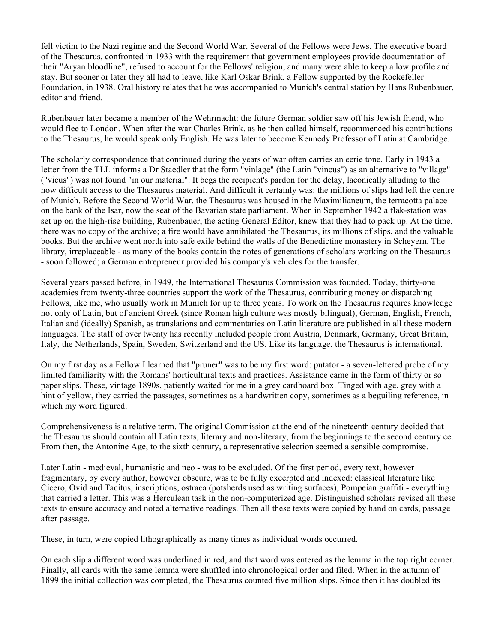fell victim to the Nazi regime and the Second World War. Several of the Fellows were Jews. The executive board of the Thesaurus, confronted in 1933 with the requirement that government employees provide documentation of their "Aryan bloodline", refused to account for the Fellows' religion, and many were able to keep a low profile and stay. But sooner or later they all had to leave, like Karl Oskar Brink, a Fellow supported by the Rockefeller Foundation, in 1938. Oral history relates that he was accompanied to Munich's central station by Hans Rubenbauer, editor and friend.

Rubenbauer later became a member of the Wehrmacht: the future German soldier saw off his Jewish friend, who would flee to London. When after the war Charles Brink, as he then called himself, recommenced his contributions to the Thesaurus, he would speak only English. He was later to become Kennedy Professor of Latin at Cambridge.

The scholarly correspondence that continued during the years of war often carries an eerie tone. Early in 1943 a letter from the TLL informs a Dr Staedler that the form "vinlage" (the Latin "vincus") as an alternative to "village" ("vicus") was not found "in our material". It begs the recipient's pardon for the delay, laconically alluding to the now difficult access to the Thesaurus material. And difficult it certainly was: the millions of slips had left the centre of Munich. Before the Second World War, the Thesaurus was housed in the Maximilianeum, the terracotta palace on the bank of the Isar, now the seat of the Bavarian state parliament. When in September 1942 a flak-station was set up on the high-rise building, Rubenbauer, the acting General Editor, knew that they had to pack up. At the time, there was no copy of the archive; a fire would have annihilated the Thesaurus, its millions of slips, and the valuable books. But the archive went north into safe exile behind the walls of the Benedictine monastery in Scheyern. The library, irreplaceable - as many of the books contain the notes of generations of scholars working on the Thesaurus - soon followed; a German entrepreneur provided his company's vehicles for the transfer.

Several years passed before, in 1949, the International Thesaurus Commission was founded. Today, thirty-one academies from twenty-three countries support the work of the Thesaurus, contributing money or dispatching Fellows, like me, who usually work in Munich for up to three years. To work on the Thesaurus requires knowledge not only of Latin, but of ancient Greek (since Roman high culture was mostly bilingual), German, English, French, Italian and (ideally) Spanish, as translations and commentaries on Latin literature are published in all these modern languages. The staff of over twenty has recently included people from Austria, Denmark, Germany, Great Britain, Italy, the Netherlands, Spain, Sweden, Switzerland and the US. Like its language, the Thesaurus is international.

On my first day as a Fellow I learned that "pruner" was to be my first word: putator - a seven-lettered probe of my limited familiarity with the Romans' horticultural texts and practices. Assistance came in the form of thirty or so paper slips. These, vintage 1890s, patiently waited for me in a grey cardboard box. Tinged with age, grey with a hint of yellow, they carried the passages, sometimes as a handwritten copy, sometimes as a beguiling reference, in which my word figured.

Comprehensiveness is a relative term. The original Commission at the end of the nineteenth century decided that the Thesaurus should contain all Latin texts, literary and non-literary, from the beginnings to the second century ce. From then, the Antonine Age, to the sixth century, a representative selection seemed a sensible compromise.

Later Latin - medieval, humanistic and neo - was to be excluded. Of the first period, every text, however fragmentary, by every author, however obscure, was to be fully excerpted and indexed: classical literature like Cicero, Ovid and Tacitus, inscriptions, ostraca (potsherds used as writing surfaces), Pompeian graffiti - everything that carried a letter. This was a Herculean task in the non-computerized age. Distinguished scholars revised all these texts to ensure accuracy and noted alternative readings. Then all these texts were copied by hand on cards, passage after passage.

These, in turn, were copied lithographically as many times as individual words occurred.

On each slip a different word was underlined in red, and that word was entered as the lemma in the top right corner. Finally, all cards with the same lemma were shuffled into chronological order and filed. When in the autumn of 1899 the initial collection was completed, the Thesaurus counted five million slips. Since then it has doubled its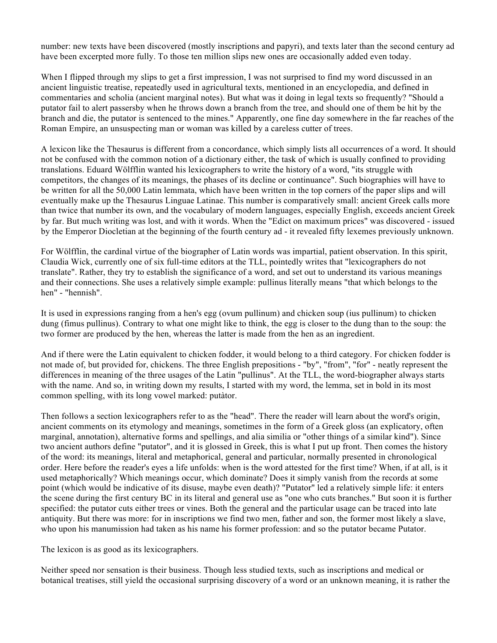number: new texts have been discovered (mostly inscriptions and papyri), and texts later than the second century ad have been excerpted more fully. To those ten million slips new ones are occasionally added even today.

When I flipped through my slips to get a first impression, I was not surprised to find my word discussed in an ancient linguistic treatise, repeatedly used in agricultural texts, mentioned in an encyclopedia, and defined in commentaries and scholia (ancient marginal notes). But what was it doing in legal texts so frequently? "Should a putator fail to alert passersby when he throws down a branch from the tree, and should one of them be hit by the branch and die, the putator is sentenced to the mines." Apparently, one fine day somewhere in the far reaches of the Roman Empire, an unsuspecting man or woman was killed by a careless cutter of trees.

A lexicon like the Thesaurus is different from a concordance, which simply lists all occurrences of a word. It should not be confused with the common notion of a dictionary either, the task of which is usually confined to providing translations. Eduard Wölfflin wanted his lexicographers to write the history of a word, "its struggle with competitors, the changes of its meanings, the phases of its decline or continuance". Such biographies will have to be written for all the 50,000 Latin lemmata, which have been written in the top corners of the paper slips and will eventually make up the Thesaurus Linguae Latinae. This number is comparatively small: ancient Greek calls more than twice that number its own, and the vocabulary of modern languages, especially English, exceeds ancient Greek by far. But much writing was lost, and with it words. When the "Edict on maximum prices" was discovered - issued by the Emperor Diocletian at the beginning of the fourth century ad - it revealed fifty lexemes previously unknown.

For Wölfflin, the cardinal virtue of the biographer of Latin words was impartial, patient observation. In this spirit, Claudia Wick, currently one of six full-time editors at the TLL, pointedly writes that "lexicographers do not translate". Rather, they try to establish the significance of a word, and set out to understand its various meanings and their connections. She uses a relatively simple example: pullinus literally means "that which belongs to the hen" - "hennish".

It is used in expressions ranging from a hen's egg (ovum pullinum) and chicken soup (ius pullinum) to chicken dung (fimus pullinus). Contrary to what one might like to think, the egg is closer to the dung than to the soup: the two former are produced by the hen, whereas the latter is made from the hen as an ingredient.

And if there were the Latin equivalent to chicken fodder, it would belong to a third category. For chicken fodder is not made of, but provided for, chickens. The three English prepositions - "by", "from", "for" - neatly represent the differences in meaning of the three usages of the Latin "pullinus". At the TLL, the word-biographer always starts with the name. And so, in writing down my results, I started with my word, the lemma, set in bold in its most common spelling, with its long vowel marked: putàtor.

Then follows a section lexicographers refer to as the "head". There the reader will learn about the word's origin, ancient comments on its etymology and meanings, sometimes in the form of a Greek gloss (an explicatory, often marginal, annotation), alternative forms and spellings, and alia similia or "other things of a similar kind"). Since two ancient authors define "putator", and it is glossed in Greek, this is what I put up front. Then comes the history of the word: its meanings, literal and metaphorical, general and particular, normally presented in chronological order. Here before the reader's eyes a life unfolds: when is the word attested for the first time? When, if at all, is it used metaphorically? Which meanings occur, which dominate? Does it simply vanish from the records at some point (which would be indicative of its disuse, maybe even death)? "Putator" led a relatively simple life: it enters the scene during the first century BC in its literal and general use as "one who cuts branches." But soon it is further specified: the putator cuts either trees or vines. Both the general and the particular usage can be traced into late antiquity. But there was more: for in inscriptions we find two men, father and son, the former most likely a slave, who upon his manumission had taken as his name his former profession: and so the putator became Putator.

The lexicon is as good as its lexicographers.

Neither speed nor sensation is their business. Though less studied texts, such as inscriptions and medical or botanical treatises, still yield the occasional surprising discovery of a word or an unknown meaning, it is rather the